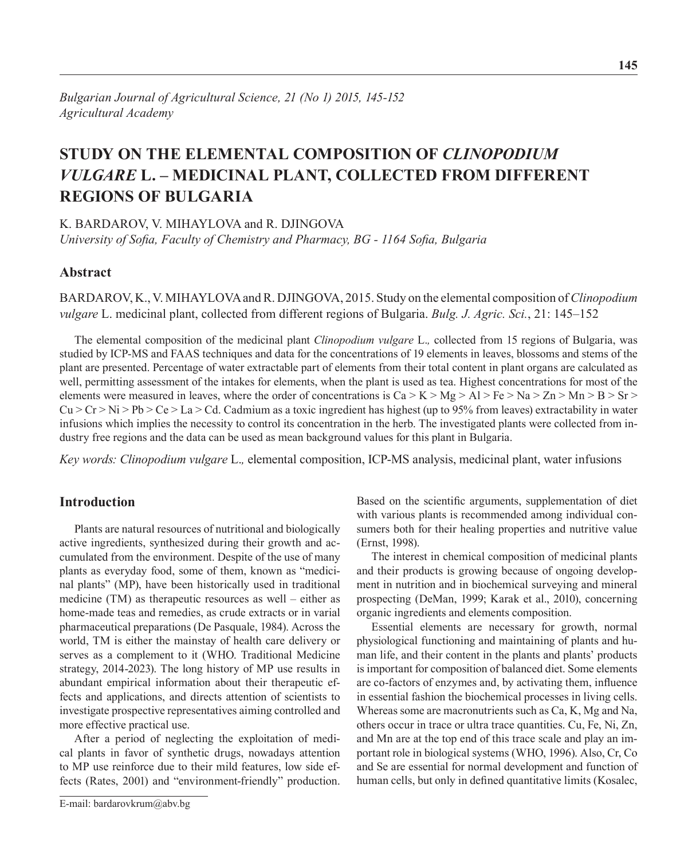# **STUDY ON THE ELEMENTAL COMPOSITION OF** *CLINOPODIUM VULGARE* **L. – MEDICINAL PLANT, COLLECTED FROM DIFFERENT REGIONS OF BULGARIA**

K. Bardarov, V. Mihaylova and R. Djingova *University of Sofia, Faculty of Chemistry and Pharmacy, BG - 1164 Sofia, Bulgaria*

# **Abstract**

Bardarov, K., V. Mihaylova and R. Djingova, 2015. Study on the elemental composition of *Clinopodium vulgare* L. medicinal plant, collected from different regions of Bulgaria. *Bulg. J. Agric. Sci.*, 21: 145–152

The elemental composition of the medicinal plant *Clinopodium vulgare* L.*,* collected from 15 regions of Bulgaria, was studied by ICP-MS and FAAS techniques and data for the concentrations of 19 elements in leaves, blossoms and stems of the plant are presented. Percentage of water extractable part of elements from their total content in plant organs are calculated as well, permitting assessment of the intakes for elements, when the plant is used as tea. Highest concentrations for most of the elements were measured in leaves, where the order of concentrations is  $Ca > K > Mg > Al > Fe > Na > Zn > Mn > B > Sr >$  $Cu > Cr > Ni > Pb > Ce > La > Cd$ . Cadmium as a toxic ingredient has highest (up to 95% from leaves) extractability in water infusions which implies the necessity to control its concentration in the herb. The investigated plants were collected from industry free regions and the data can be used as mean background values for this plant in Bulgaria.

*Key words: Clinopodium vulgare* L.*,* elemental composition, ICP-MS analysis, medicinal plant, water infusions

# **Introduction**

Plants are natural resources of nutritional and biologically active ingredients, synthesized during their growth and accumulated from the environment. Despite of the use of many plants as everyday food, some of them, known as "medicinal plants" (MP), have been historically used in traditional medicine (TM) as therapeutic resources as well – either as home-made teas and remedies, as crude extracts or in varial pharmaceutical preparations (De Pasquale, 1984). Across the world, TM is either the mainstay of health care delivery or serves as a complement to it (WHO. Traditional Medicine strategy, 2014-2023). The long history of MP use results in abundant empirical information about their therapeutic effects and applications, and directs attention of scientists to investigate prospective representatives aiming controlled and more effective practical use.

After a period of neglecting the exploitation of medical plants in favor of synthetic drugs, nowadays attention to MP use reinforce due to their mild features, low side effects (Rates, 2001) and "environment-friendly" production.

Based on the scientific arguments, supplementation of diet with various plants is recommended among individual consumers both for their healing properties and nutritive value (Ernst, 1998).

The interest in chemical composition of medicinal plants and their products is growing because of ongoing development in nutrition and in biochemical surveying and mineral prospecting (DeMan, 1999; Karak et al., 2010), concerning organic ingredients and elements composition.

Essential elements are necessary for growth, normal physiological functioning and maintaining of plants and human life, and their content in the plants and plants' products is important for composition of balanced diet. Some elements are co-factors of enzymes and, by activating them, influence in essential fashion the biochemical processes in living cells. Whereas some are macronutrients such as Ca, K, Mg and Na, others occur in trace or ultra trace quantities. Cu, Fe, Ni, Zn, and Mn are at the top end of this trace scale and play an important role in biological systems (WHO, 1996). Also, Cr, Co and Se are essential for normal development and function of human cells, but only in defined quantitative limits (Kosalec,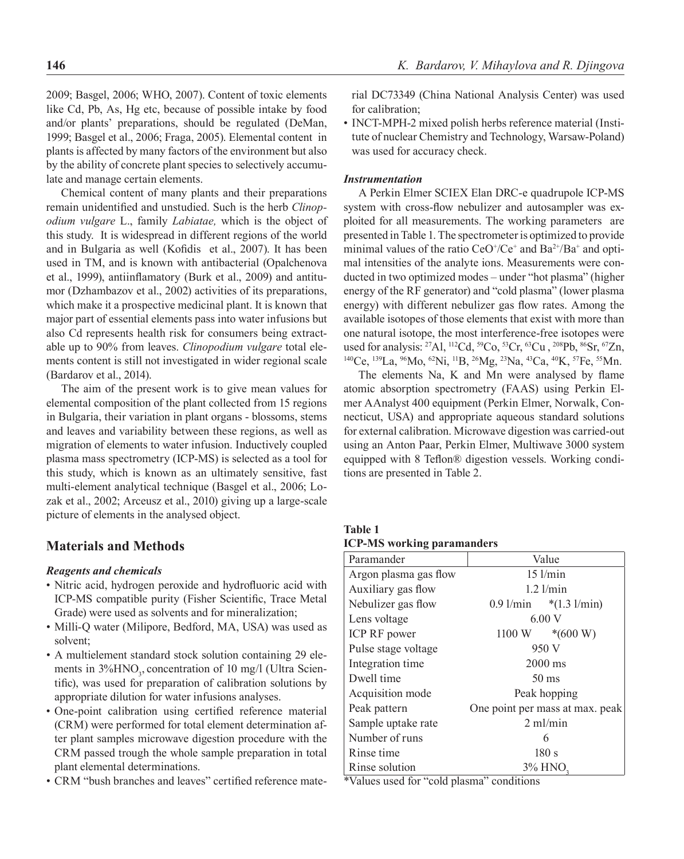2009; Basgel, 2006; WHO, 2007). Content of toxic elements like Cd, Pb, As, Hg etc, because of possible intake by food and/or plants' preparations, should be regulated (DeMan, 1999; Basgel et al., 2006; Fraga, 2005). Elemental content in plants is affected by many factors of the environment but also by the ability of concrete plant species to selectively accumulate and manage certain elements.

Chemical content of many plants and their preparations remain unidentified and unstudied. Such is the herb *Clinopodium vulgare* L., family *Labiatae,* which is the object of this study. It is widespread in different regions of the world and in Bulgaria as well (Kofidis et al., 2007). It has been used in ТМ, and is known with antibacterial (Opalchenova et al., 1999), antiinflamatory (Burk et al., 2009) and antitumor (Dzhambazov et al., 2002) activities of its preparations, which make it a prospective medicinal plant. It is known that major part of essential elements pass into water infusions but also Cd represents health risk for consumers being extractable up to 90% from leaves. *Clinopodium vulgare* total elements content is still not investigated in wider regional scale (Bardarov et al., 2014).

The aim of the present work is to give mean values for elemental composition of the plant collected from 15 regions in Bulgaria, their variation in plant organs - blossoms, stems and leaves and variability between these regions, as well as migration of elements to water infusion. Inductively coupled plasma mass spectrometry (ICP-MS) is selected as a tool for this study, which is known as an ultimately sensitive, fast multi-element analytical technique (Basgel et al., 2006; Lozak et al., 2002; Arceusz et al., 2010) giving up a large-scale picture of elements in the analysed object.

### **Materials and Methods**

### *Reagents and chemicals*

- Nitric acid, hydrogen peroxide and hydrofluoric acid with ICP-MS compatible purity (Fisher Scientific, Trace Metal Grade) were used as solvents and for mineralization;
- Milli-Q water (Milipore, Bedford, MA, USA) was used as solvent;
- A multielement standard stock solution containing 29 elements in  $3\%$ HNO<sub>3</sub>, concentration of 10 mg/l (Ultra Scientific), was used for preparation of calibration solutions by appropriate dilution for water infusions analyses.
- One-point calibration using certified reference material (CRM) were performed for total element determination after plant samples microwave digestion procedure with the CRM passed trough the whole sample preparation in total plant elemental determinations.
- CRM "bush branches and leaves" certified reference mate-

rial DC73349 (China National Analysis Center) was used for calibration;

• INCT-MPH-2 mixed polish herbs reference material (Institute of nuclear Chemistry and Technology, Warsaw-Poland) was used for accuracy check.

### *Instrumentation*

A Perkin Elmer SCIEX Elan DRC-e quadrupole ICP-MS system with cross-flow nebulizer and autosampler was exploited for all measurements. The working parameters are presented in Table 1. The spectrometer is optimized to provide minimal values of the ratio  $CeO^{\dagger}/Ce^{\dagger}$  and  $Ba^{2\dagger}/Ba^{\dagger}$  and optimal intensities of the analyte ions. Measurements were conducted in two optimized modes – under "hot plasma" (higher energy of the RF generator) and "cold plasma" (lower plasma energy) with different nebulizer gas flow rates. Among the available isotopes of those elements that exist with more than one natural isotope, the most interference-free isotopes were used for analysis: <sup>27</sup>Al, <sup>112</sup>Cd, <sup>59</sup>Co, <sup>53</sup>Cr, <sup>63</sup>Cu, <sup>208</sup>Pb, <sup>86</sup>Sr, <sup>67</sup>Zn, <sup>140</sup>Ce, <sup>139</sup>La, <sup>96</sup>Mo, <sup>62</sup>Ni, <sup>11</sup>B, <sup>26</sup>Mg, <sup>23</sup>Na, <sup>43</sup>Ca, <sup>40</sup>K, <sup>57</sup>Fe, <sup>55</sup>Mn.

The elements Na, K and Mn were analysed by flame atomic absorption spectrometry (FAAS) using Perkin Elmer AAnalyst 400 equipment (Perkin Elmer, Norwalk, Connecticut, USA) and appropriate aqueous standard solutions for external calibration. Microwave digestion was carried-out using an Anton Paar, Perkin Elmer, Multiwave 3000 system equipped with 8 Teflon® digestion vessels. Working conditions are presented in Table 2.

**Table 1 ICP-MS working paramanders**

| Paramander            | Value           |                                      |  |
|-----------------------|-----------------|--------------------------------------|--|
| Argon plasma gas flow |                 | $15$ $1/min$                         |  |
| Auxiliary gas flow    |                 | $1.2$ l/min                          |  |
| Nebulizer gas flow    | $0.9$ l/min     | $*(1.3 \frac{\text{1}}{\text{min}})$ |  |
| Lens voltage          | 6.00V           |                                      |  |
| ICP RF power          |                 | $1100 \text{ W}$ *(600 W)            |  |
| Pulse stage voltage   | 950 V           |                                      |  |
| Integration time      | $2000$ ms       |                                      |  |
| Dwell time            | $50 \text{ ms}$ |                                      |  |
| Acquisition mode      | Peak hopping    |                                      |  |
| Peak pattern          |                 | One point per mass at max. peak      |  |
| Sample uptake rate    |                 | $2 \text{ ml/min}$                   |  |
| Number of runs        |                 | 6                                    |  |
| Rinse time            | 180s            |                                      |  |
| Rinse solution        | . .             | 3% HNO                               |  |

\*Values used for "cold plasma" conditions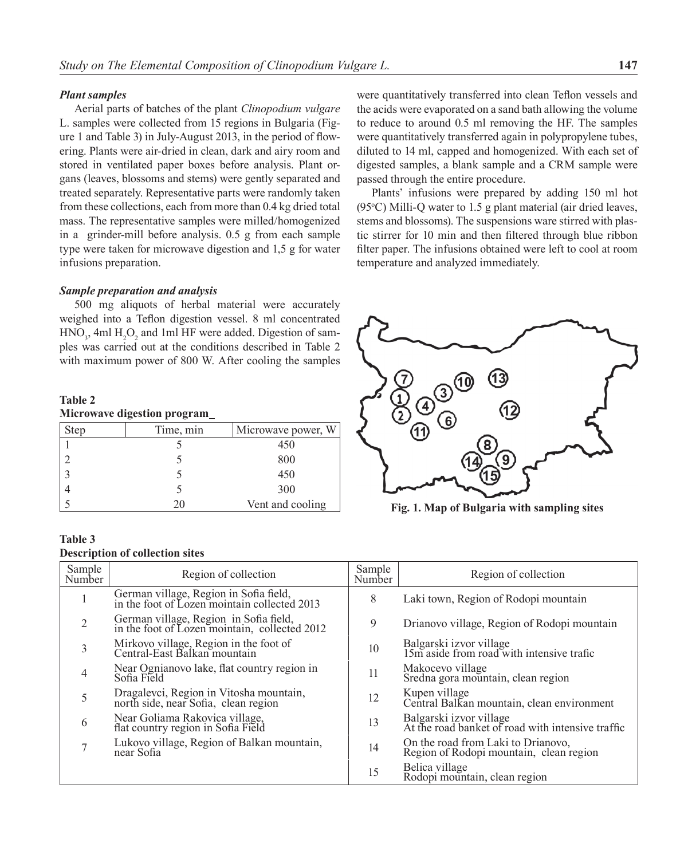### *Plant samples*

Aerial parts of batches of the plant *Clinopodium vulgare*  L. samples were collected from 15 regions in Bulgaria (Figure 1 and Table 3) in July-August 2013, in the period of flowering. Plants were air-dried in clean, dark and airy room and stored in ventilated paper boxes before analysis. Plant organs (leaves, blossoms and stems) were gently separated and treated separately. Representative parts were randomly taken from these collections, each from more than 0.4 kg dried total mass. The representative samples were milled/homogenized in a grinder-mill before analysis. 0.5 g from each sample type were taken for microwave digestion and 1,5 g for water infusions preparation.

### *Sample preparation and analysis*

500 mg aliquots of herbal material were accurately weighed into a Teflon digestion vessel. 8 ml concentrated  $HNO<sub>3</sub>$ , 4ml  $H<sub>2</sub>O<sub>2</sub>$  and 1ml HF were added. Digestion of samples was carried out at the conditions described in Table 2 with maximum power of 800 W. After cooling the samples

### **Table 2 Microwave digestion program**

| <b>Step</b> | Time, min | Microwave power, W |
|-------------|-----------|--------------------|
|             |           | 450                |
|             |           | 800                |
|             |           | 450                |
|             |           | 300                |
|             | ''        | Vent and cooling   |

### **Table 3**

### **Description of collection sites**

| Sample<br>Number | Region of collection                                                                    | Sample<br>Number | Region of collection                                                          |
|------------------|-----------------------------------------------------------------------------------------|------------------|-------------------------------------------------------------------------------|
|                  | German village, Region in Sofia field,<br>in the foot of Lozen mointain collected 2013  | 8                | Laki town, Region of Rodopi mountain                                          |
| 2                | German village, Region in Sofia field,<br>in the foot of Lozen mointain, collected 2012 | 9                | Drianovo village, Region of Rodopi mountain                                   |
| 3                | Mirkovo village, Region in the foot of<br>Central-East Balkan mountain                  | 10               | Balgarski izvor village<br>15m aside from road with intensive trafic          |
| $\overline{4}$   | Near Ognianovo lake, flat country region in<br>Sofia Field                              | 11               | Makocevo village<br>Sredna gora mountain, clean region                        |
| 5                | Dragalevci, Region in Vitosha mountain,<br>north side, near Sofia, clean region         | 12               | Kupen village<br>Central Balkan mountain, clean environment                   |
| 6                | Near Goliama Rakovica village,<br>flat country region in Sofia Field                    | 13               | Balgarski izvor village<br>At the road banket of road with intensive traffic  |
| 7                | Lukovo village, Region of Balkan mountain,<br>near Sofia                                | 14               | On the road from Laki to Drianovo,<br>Region of Rodopi mountain, clean region |
|                  |                                                                                         | 15               | Belica village<br>Rodopi mountain, clean region                               |

were quantitatively transferred into clean Teflon vessels and the acids were evaporated on a sand bath allowing the volume to reduce to around 0.5 ml removing the HF. The samples were quantitatively transferred again in polypropylene tubes. diluted to 14 ml, capped and homogenized. With each set of digested samples, a blank sample and a CRM sample were passed through the entire procedure.

Plants' infusions were prepared by adding 150 ml hot  $(95\textdegree C)$  Milli-Q water to 1.5 g plant material (air dried leaves, stems and blossoms). The suspensions ware stirred with plastic stirrer for 10 min and then filtered through blue ribbon filter paper. The infusions obtained were left to cool at room temperature and analyzed immediately.



**Fig. 1. Map of Bulgaria with sampling sites**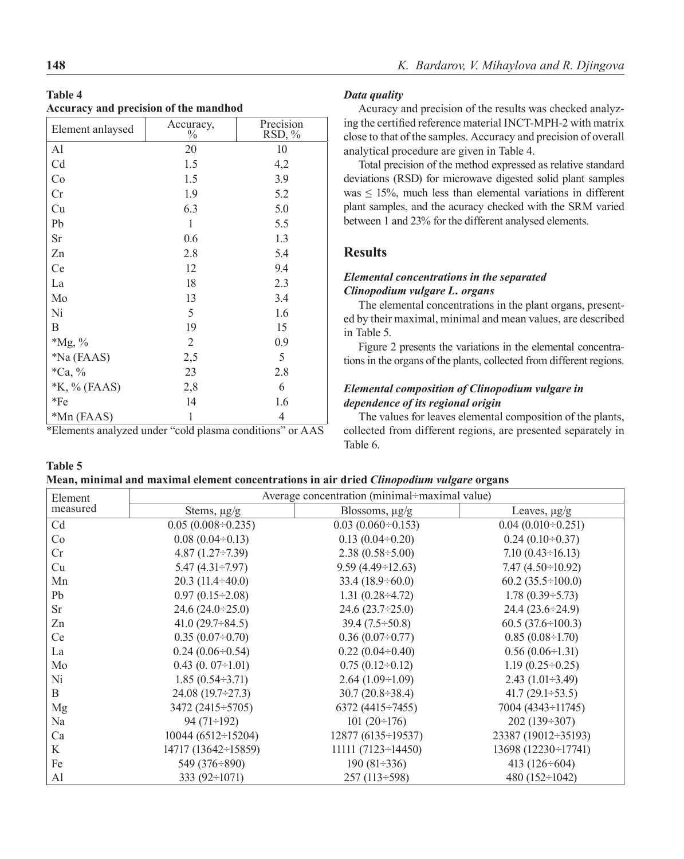| Table 4                               |  |  |
|---------------------------------------|--|--|
| Accuracy and precision of the mandhod |  |  |

| Element anlaysed | Accuracy,<br>$\%$ | Precision<br>RSD, % |
|------------------|-------------------|---------------------|
| Al               | 20                | 10                  |
| Cd               | 1.5               | 4,2                 |
| Co               | 1.5               | 3.9                 |
| Cr               | 1.9               | 5.2                 |
| Cu               | 6.3               | 5.0                 |
| Pb               | $\mathbf{1}$      | 5.5                 |
| Sr               | 0.6               | 1.3                 |
| Zn               | 2.8               | 5.4                 |
| Ce               | 12                | 9.4                 |
| La               | 18                | 2.3                 |
| Mo               | 13                | 3.4                 |
| Ni               | 5                 | 1.6                 |
| B                | 19                | 15                  |
| $*Mg, \%$        | $\overline{2}$    | 0.9                 |
| *Na (FAAS)       | 2,5               | 5                   |
| $*Ca, \%$        | 23                | 2.8                 |
| $K, \%$ (FAAS)   | 2,8               | 6                   |
| $*Fe$            | 14                | 1.6                 |
| *Mn (FAAS)       | 1                 | 4                   |

\*Elements analyzed under "cold plasma conditions" or AAS

### *Data quality*

Acuracy and precision of the results was checked analyzing the certified reference material INCT-MPH-2 with matrix close to that of the samples. Accuracy and precision of overall analytical procedure are given in Table 4.

Total precision of the method expressed as relative standard deviations (RSD) for microwave digested solid plant samples was  $\leq$  15%, much less than elemental variations in different plant samples, and the acuracy checked with the SRM varied between 1 and 23% for the different analysed elements.

# **Results**

# *Elemental concentrations in the separated Clinopodium vulgare L. organs*

The elemental concentrations in the plant organs, presented by their maximal, minimal and mean values, are described in Table 5.

Figure 2 presents the variations in the elemental concentrations in the organs of the plants, collected from different regions.

# *Elemental composition of Clinopodium vulgare in dependence of its regional origin*

The values for leaves elemental composition of the plants, collected from different regions, are presented separately in Table 6.

| <b>Table 5</b> |                                                                                         |  |
|----------------|-----------------------------------------------------------------------------------------|--|
|                | Moon, minimal and maximal alamant concentrations in air dried Clinenadium vulgare organ |  |

| Mean, minimal and maximal element concentrations in air dried <i>Clinopodium vulgare</i> organs |                          |                                               |                            |  |  |  |  |  |  |
|-------------------------------------------------------------------------------------------------|--------------------------|-----------------------------------------------|----------------------------|--|--|--|--|--|--|
| Element                                                                                         |                          | Average concentration (minimal-maximal value) |                            |  |  |  |  |  |  |
| measured                                                                                        | Stems, $\mu$ g/g         | Blossoms, µg/g                                | Leaves, $\mu$ g/g          |  |  |  |  |  |  |
| Cd                                                                                              | $0.05(0.008 \div 0.235)$ | $0.03(0.060\div0.153)$                        | $0.04(0.010 \div 0.251)$   |  |  |  |  |  |  |
| Co                                                                                              | $0.08(0.04 \div 0.13)$   | $0.13(0.04 \div 0.20)$                        | $0.24(0.10\div 0.37)$      |  |  |  |  |  |  |
| Cr                                                                                              | $4.87(1.27\div7.39)$     | $2.38(0.58 \div 5.00)$                        | $7.10(0.43\div 16.13)$     |  |  |  |  |  |  |
| Cu                                                                                              | $5.47(4.31\div7.97)$     | $9.59(4.49 \div 12.63)$                       | $7.47(4.50\div10.92)$      |  |  |  |  |  |  |
| Mn                                                                                              | $20.3(11.4 \div 40.0)$   | $33.4(18.9 \div 60.0)$                        | $60.2$ $(35.5 \div 100.0)$ |  |  |  |  |  |  |
| Pb                                                                                              | $0.97(0.15 \div 2.08)$   | 1.31 $(0.28 \div 4.72)$                       | $1.78(0.39 \div 5.73)$     |  |  |  |  |  |  |
| <b>Sr</b>                                                                                       | $24.6(24.0 \div 25.0)$   | $24.6(23.7\div 25.0)$                         | $24.4(23.6 \div 24.9)$     |  |  |  |  |  |  |
| Zn                                                                                              | $41.0(29.7\div 84.5)$    | $39.4(7.5 \div 50.8)$                         | $60.5(37.6 \div 100.3)$    |  |  |  |  |  |  |
| Ce                                                                                              | $0.35(0.07\div0.70)$     | $0.36(0.07 \div 0.77)$                        | $0.85(0.08 \div 1.70)$     |  |  |  |  |  |  |
| La                                                                                              | $0.24(0.06 \div 0.54)$   | $0.22(0.04 \div 0.40)$                        | $0.56(0.06 \div 1.31)$     |  |  |  |  |  |  |
| Mo                                                                                              | $0.43(0.07\div1.01)$     | $0.75(0.12 \div 0.12)$                        | $1.19(0.25 \div 0.25)$     |  |  |  |  |  |  |
| Ni                                                                                              | $1.85(0.54 \div 3.71)$   | $2.64(1.09\div1.09)$                          | $2.43(1.01\div 3.49)$      |  |  |  |  |  |  |
| B                                                                                               | $24.08(19.7\div 27.3)$   | $30.7(20.8 \div 38.4)$                        | 41.7 $(29.1 \div 53.5)$    |  |  |  |  |  |  |
| Mg                                                                                              | 3472 (2415÷5705)         | 6372 (4415÷7455)                              | 7004 (4343÷11745)          |  |  |  |  |  |  |
| Na                                                                                              | $94(71\div 192)$         | $101(20 \div 176)$                            | $202(139\div 307)$         |  |  |  |  |  |  |
| Ca                                                                                              | $10044(6512 \div 15204)$ | $12877(6135\div 19537)$                       | 23387 (19012÷35193)        |  |  |  |  |  |  |
| K                                                                                               | 14717 (13642÷15859)      | $11111 (7123 \div 14450)$                     | 13698 (12230÷17741)        |  |  |  |  |  |  |
| Fe                                                                                              | 549 $(376 \div 890)$     | $190(81\div 336)$                             | 413 $(126 \div 604)$       |  |  |  |  |  |  |
| Al                                                                                              | 333 $(92 \div 1071)$     | $257(113 \div 598)$                           | 480 (152÷1042)             |  |  |  |  |  |  |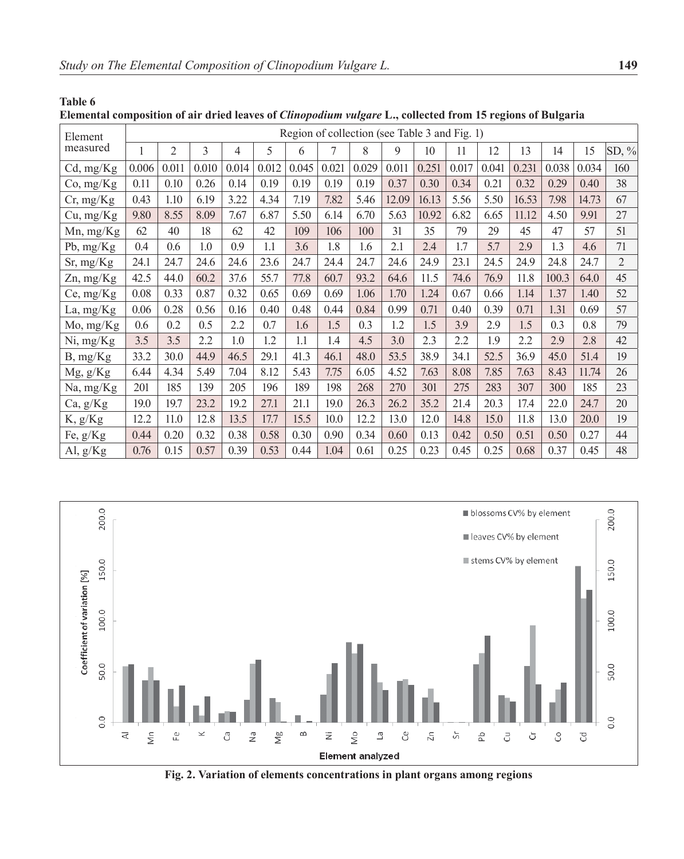**Table 6**

| Elemental composition of air dried leaves of Clinopodium vulgare L., collected from 15 regions of Bulgaria |  |  |  |
|------------------------------------------------------------------------------------------------------------|--|--|--|
|------------------------------------------------------------------------------------------------------------|--|--|--|

| Element         |       |                |       |       |       | Region of collection (see Table 3 and Fig. 1) |       |       |       |       |       |       |       |       |       |                |
|-----------------|-------|----------------|-------|-------|-------|-----------------------------------------------|-------|-------|-------|-------|-------|-------|-------|-------|-------|----------------|
| measured        |       | $\overline{2}$ | 3     | 4     | 5     | 6                                             | 7     | 8     | 9     | 10    | 11    | 12    | 13    | 14    | 15    | SD, %          |
| Cd, mg/Kg       | 0.006 | 0.011          | 0.010 | 0.014 | 0.012 | 0.045                                         | 0.021 | 0.029 | 0.011 | 0.251 | 0.017 | 0.041 | 0.231 | 0.038 | 0.034 | 160            |
| Co, mg/Kg       | 0.11  | 0.10           | 0.26  | 0.14  | 0.19  | 0.19                                          | 0.19  | 0.19  | 0.37  | 0.30  | 0.34  | 0.21  | 0.32  | 0.29  | 0.40  | 38             |
| Cr, mg/Kg       | 0.43  | 1.10           | 6.19  | 3.22  | 4.34  | 7.19                                          | 7.82  | 5.46  | 12.09 | 16.13 | 5.56  | 5.50  | 16.53 | 7.98  | 14.73 | 67             |
| Cu, mg/Kg       | 9.80  | 8.55           | 8.09  | 7.67  | 6.87  | 5.50                                          | 6.14  | 6.70  | 5.63  | 10.92 | 6.82  | 6.65  | 11.12 | 4.50  | 9.91  | 27             |
| $Mn$ , mg/ $Kg$ | 62    | 40             | 18    | 62    | 42    | 109                                           | 106   | 100   | 31    | 35    | 79    | 29    | 45    | 47    | 57    | 51             |
| Pb, $mg/Kg$     | 0.4   | 0.6            | 1.0   | 0.9   | 1.1   | 3.6                                           | 1.8   | 1.6   | 2.1   | 2.4   | 1.7   | 5.7   | 2.9   | 1.3   | 4.6   | 71             |
| Sr, mg/Kg       | 24.1  | 24.7           | 24.6  | 24.6  | 23.6  | 24.7                                          | 24.4  | 24.7  | 24.6  | 24.9  | 23.1  | 24.5  | 24.9  | 24.8  | 24.7  | $\overline{2}$ |
| Zn, mg/Kg       | 42.5  | 44.0           | 60.2  | 37.6  | 55.7  | 77.8                                          | 60.7  | 93.2  | 64.6  | 11.5  | 74.6  | 76.9  | 11.8  | 100.3 | 64.0  | 45             |
| Ce, mg/Kg       | 0.08  | 0.33           | 0.87  | 0.32  | 0.65  | 0.69                                          | 0.69  | 1.06  | 1.70  | 1.24  | 0.67  | 0.66  | 1.14  | 1.37  | 1.40  | 52             |
| La, mg/Kg       | 0.06  | 0.28           | 0.56  | 0.16  | 0.40  | 0.48                                          | 0.44  | 0.84  | 0.99  | 0.71  | 0.40  | 0.39  | 0.71  | 1.31  | 0.69  | 57             |
| Mo, mg/Kg       | 0.6   | 0.2            | 0.5   | 2.2   | 0.7   | 1.6                                           | 1.5   | 0.3   | 1.2   | 1.5   | 3.9   | 2.9   | 1.5   | 0.3   | 0.8   | 79             |
| Ni, mg/Kg       | 3.5   | 3.5            | 2.2   | 1.0   | 1.2   | 1.1                                           | 1.4   | 4.5   | 3.0   | 2.3   | 2.2   | 1.9   | 2.2   | 2.9   | 2.8   | 42             |
| B, mg/Kg        | 33.2  | 30.0           | 44.9  | 46.5  | 29.1  | 41.3                                          | 46.1  | 48.0  | 53.5  | 38.9  | 34.1  | 52.5  | 36.9  | 45.0  | 51.4  | 19             |
| Mg, g/Kg        | 6.44  | 4.34           | 5.49  | 7.04  | 8.12  | 5.43                                          | 7.75  | 6.05  | 4.52  | 7.63  | 8.08  | 7.85  | 7.63  | 8.43  | 11.74 | 26             |
| Na, mg/Kg       | 201   | 185            | 139   | 205   | 196   | 189                                           | 198   | 268   | 270   | 301   | 275   | 283   | 307   | 300   | 185   | 23             |
| Ca, g/Kg        | 19.0  | 19.7           | 23.2  | 19.2  | 27.1  | 21.1                                          | 19.0  | 26.3  | 26.2  | 35.2  | 21.4  | 20.3  | 17.4  | 22.0  | 24.7  | 20             |
| K, g/Kg         | 12.2  | 11.0           | 12.8  | 13.5  | 17.7  | 15.5                                          | 10.0  | 12.2  | 13.0  | 12.0  | 14.8  | 15.0  | 11.8  | 13.0  | 20.0  | 19             |
| Fe, g/Kg        | 0.44  | 0.20           | 0.32  | 0.38  | 0.58  | 0.30                                          | 0.90  | 0.34  | 0.60  | 0.13  | 0.42  | 0.50  | 0.51  | 0.50  | 0.27  | 44             |
| Al, $g/Kg$      | 0.76  | 0.15           | 0.57  | 0.39  | 0.53  | 0.44                                          | 1.04  | 0.61  | 0.25  | 0.23  | 0.45  | 0.25  | 0.68  | 0.37  | 0.45  | 48             |



**Fig. 2. Variation of elements concentrations in plant organs among regions**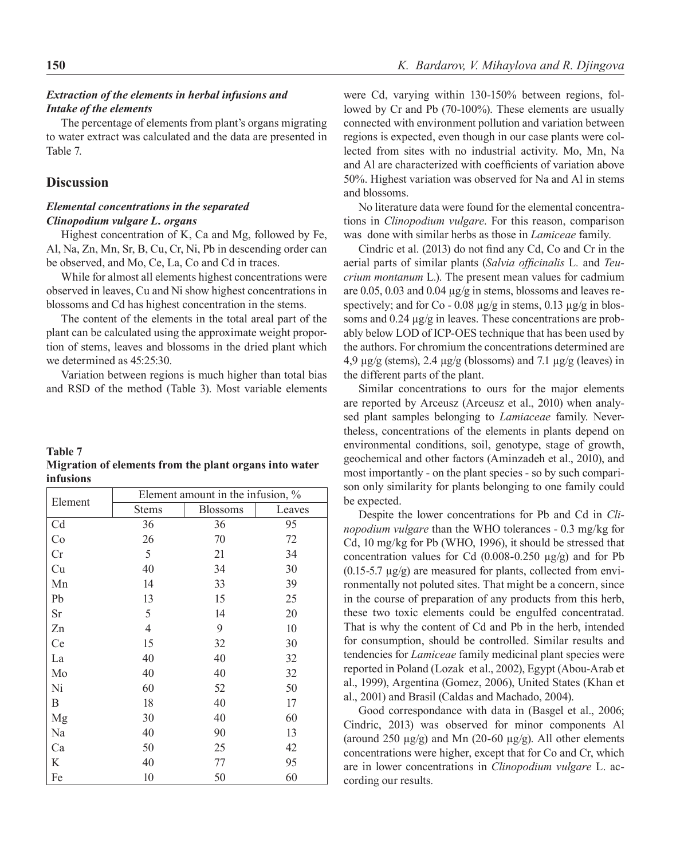## *Extraction of the elements in herbal infusions and Intake of the elements*

The percentage of elements from plant's organs migrating to water extract was calculated and the data are presented in Table 7.

### **Discussion**

## *Elemental concentrations in the separated Clinopodium vulgare L. organs*

Highest concentration of K, Ca and Mg, followed by Fe, Al, Na, Zn, Mn, Sr, B, Cu, Cr, Ni, Pb in descending order can be observed, and Mo, Ce, La, Co and Cd in traces.

While for almost all elements highest concentrations were observed in leaves, Cu and Ni show highest concentrations in blossoms and Cd has highest concentration in the stems.

The content of the elements in the total areal part of the plant can be calculated using the approximate weight proportion of stems, leaves and blossoms in the dried plant which we determined as 45:25:30.

Variation between regions is much higher than total bias and RSD of the method (Table 3). Most variable elements

| <b>Table 7</b> |                                                        |  |  |
|----------------|--------------------------------------------------------|--|--|
|                | Migration of elements from the plant organs into water |  |  |
| infusions      |                                                        |  |  |

|           |              | Element amount in the infusion, % |        |
|-----------|--------------|-----------------------------------|--------|
| Element   | <b>Stems</b> | <b>Blossoms</b>                   | Leaves |
| Cd        | 36           | 36                                | 95     |
| Co        | 26           | 70                                | 72     |
| Cr        | 5            | 21                                | 34     |
| Cu        | 40           | 34                                | 30     |
| Mn        | 14           | 33                                | 39     |
| Pb        | 13           | 15                                | 25     |
| <b>Sr</b> | 5            | 14                                | 20     |
| Zn        | 4            | 9                                 | 10     |
| Ce        | 15           | 32                                | 30     |
| La        | 40           | 40                                | 32     |
| Mo        | 40           | 40                                | 32     |
| Ni        | 60           | 52                                | 50     |
| B         | 18           | 40                                | 17     |
| Mg        | 30           | 40                                | 60     |
| Na        | 40           | 90                                | 13     |
| Ca        | 50           | 25                                | 42     |
| K         | 40           | 77                                | 95     |
| Fe        | 10           | 50                                | 60     |

were Cd, varying within 130-150% between regions, followed by Cr and Pb (70-100%). These elements are usually connected with environment pollution and variation between regions is expected, even though in our case plants were collected from sites with no industrial activity. Mo, Mn, Na and Al are characterized with coefficients of variation above 50%. Highest variation was observed for Na and Al in stems and blossoms.

No literature data were found for the elemental concentrations in *Clinopodium vulgare*. For this reason, comparison was done with similar herbs as those in *Lamiceae* family.

Cindric et al. (2013) do not find any Cd, Co and Cr in the aerial parts of similar plants (*Salvia officinalis* L*.* and *Teucrium montanum* L*.*). The present mean values for cadmium are 0.05, 0.03 and 0.04 µg/g in stems, blossoms and leaves respectively; and for Co - 0.08  $\mu$ g/g in stems, 0.13  $\mu$ g/g in blossoms and  $0.24 \mu$ g/g in leaves. These concentrations are probably below LOD of ICP-OES technique that has been used by the authors. For chromium the concentrations determined are 4,9  $\mu$ g/g (stems), 2.4  $\mu$ g/g (blossoms) and 7.1  $\mu$ g/g (leaves) in the different parts of the plant.

Similar concentrations to ours for the major elements are reported by Arceusz (Arceusz et al., 2010) when analysed plant samples belonging to *Lamiaceae* family. Nevertheless, concentrations of the elements in plants depend on environmental conditions, soil, genotype, stage of growth, geochemical and other factors (Aminzadeh et al., 2010), and most importantly - on the plant species - so by such comparison only similarity for plants belonging to one family could be expected.

Despite the lower concentrations for Pb and Cd in *Clinopodium vulgare* than the WHO tolerances - 0.3 mg/kg for Cd, 10 mg/kg for Pb (WHO, 1996), it should be stressed that concentration values for Cd  $(0.008-0.250 \mu g/g)$  and for Pb  $(0.15-5.7 \mu g/g)$  are measured for plants, collected from environmentally not poluted sites. That might be a concern, since in the course of preparation of any products from this herb, these two toxic elements could be engulfed concentratad. That is why the content of Cd and Pb in the herb, intended for consumption, should be controlled. Similar results and tendencies for *Lamiceae* family medicinal plant species were reported in Poland (Lozak et al., 2002), Egypt (Abou-Arab et al., 1999), Argentina (Gomez, 2006), United States (Khan et al., 2001) and Brasil (Caldas and Machado, 2004).

Good correspondance with data in (Basgel et al., 2006; Cindric, 2013) was observed for minor components Al (around 250 µg/g) and Mn (20-60 µg/g). All other elements concentrations were higher, except that for Co and Cr, which are in lower concentrations in *Clinopodium vulgare* L. according our results*.*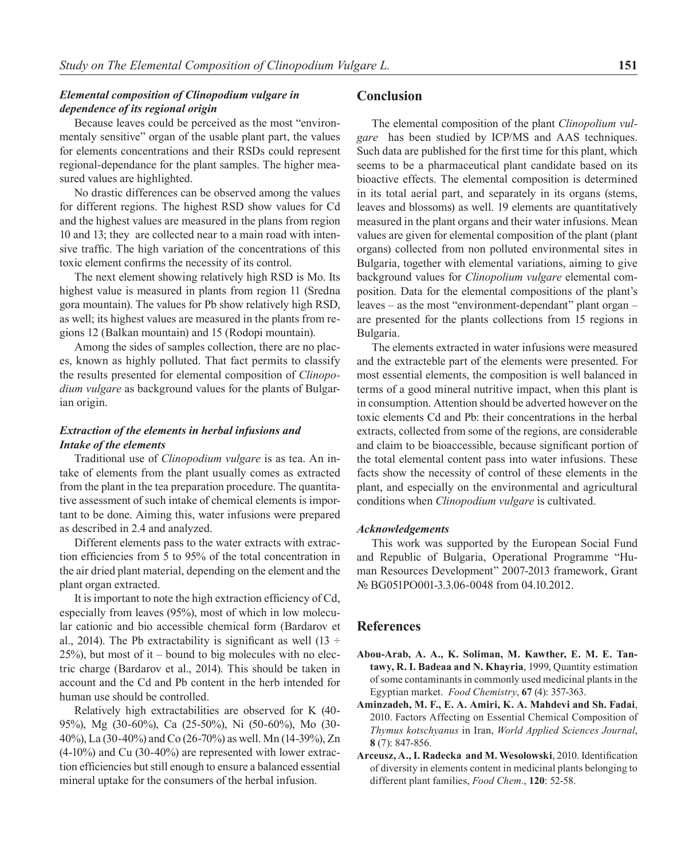# *Elemental composition of Clinopodium vulgare in dependence of its regional origin*

Because leaves could be perceived as the most "environmentaly sensitive" organ of the usable plant part, the values for elements concentrations and their RSDs could represent regional-dependance for the plant samples. The higher measured values are highlighted.

No drastic differences can be observed among the values for different regions. The highest RSD show values for Cd and the highest values are measured in the plans from region 10 and 13; they are collected near to a main road with intensive traffic. The high variation of the concentrations of this toxic element confirms the necessity of its control.

The next element showing relatively high RSD is Mo. Its highest value is measured in plants from region 11 (Sredna gora mountain). The values for Pb show relatively high RSD, as well; its highest values are measured in the plants from regions 12 (Balkan mountain) and 15 (Rodopi mountain).

Among the sides of samples collection, there are no places, known as highly polluted. That fact permits to classify the results presented for elemental composition of *Clinopodium vulgare* as background values for the plants of Bulgarian origin.

# *Extraction of the elements in herbal infusions and Intake of the elements*

Traditional use of *Clinopodium vulgare* is as tea. An intake of elements from the plant usually comes as extracted from the plant in the tea preparation procedure. The quantitative assessment of such intake of chemical elements is important to be done. Aiming this, water infusions were prepared as described in 2.4 and analyzed.

Different elements pass to the water extracts with extraction efficiencies from 5 to 95% of the total concentration in the air dried plant material, depending on the element and the plant organ extracted.

It is important to note the high extraction efficiency of Cd, especially from leaves (95%), most of which in low molecular cationic and bio accessible chemical form (Bardarov et al., 2014). The Pb extractability is significant as well  $(13 \div$ 25%), but most of it – bound to big molecules with no electric charge (Bardarov et al., 2014). This should be taken in account and the Cd and Pb content in the herb intended for human use should be controlled.

Relatively high extractabilities are observed for K (40- 95%), Mg (30-60%), Ca (25-50%), Ni (50-60%), Mo (30- 40%), La (30-40%) and Co (26-70%) as well. Mn (14-39%), Zn (4-10%) and Cu (30-40%) are represented with lower extraction efficiencies but still enough to ensure a balanced essential mineral uptake for the consumers of the herbal infusion.

# **Conclusion**

The elemental composition of the plant *Clinopolium vulgare* has been studied by ICP/MS and AAS techniques. Such data are published for the first time for this plant, which seems to be a pharmaceutical plant candidate based on its bioactive effects. The elemental composition is determined in its total aerial part, and separately in its organs (stems, leaves and blossoms) as well. 19 elements are quantitatively measured in the plant organs and their water infusions. Mean values are given for elemental composition of the plant (plant organs) collected from non polluted environmental sites in Bulgaria, together with elemental variations, aiming to give background values for *Clinopolium vulgare* elemental composition. Data for the elemental compositions of the plant's leaves – as the most "environment-dependant" plant organ – are presented for the plants collections from 15 regions in Bulgaria.

Тhe elements extracted in water infusions were measured and the extracteble part of the elements were presented. For most essential elements, the composition is well balanced in terms of a good mineral nutritive impact, when this plant is in consumption. Attention should be adverted however on the toxic elements Cd and Pb: their concentrations in the herbal extracts, collected from some of the regions, are considerable and claim to be bioaccessible, because significant portion of the total elemental content pass into water infusions. These facts show the necessity of control of these elements in the plant, and especially on the environmental and agricultural conditions when *Clinopodium vulgare* is cultivated.

#### *Acknowledgements*

This work was supported by the European Social Fund and Republic of Bulgaria, Operational Programme "Human Resources Development" 2007-2013 framework, Grant № BG051PO001-3.3.06-0048 from 04.10.2012.

### **References**

- **Abou-Arab, A. A., K. Soliman, M. Kawther, E. M. E. Tantawy, R. I. Badeaa and N. Khayria**, 1999, Quantity estimation of some contaminants in commonly used medicinal plants in the Egyptian market. *Food Chemistry*, **67** (4): 357-363.
- **Aminzadeh, M. F., E. A. Amiri, K. A. Mahdevi and Sh. Fadai**, 2010. Factors Affecting on Essential Chemical Composition of *Thymus kotschyanus* in Iran, *World Applied Sciences Journal*, **8** (7): 847-856.
- **Arceusz, A., I. Radecka and M. Wesolowski**, 2010. Identification of diversity in elements content in medicinal plants belonging to different plant families, *Food Chem.*, **120**: 52-58.